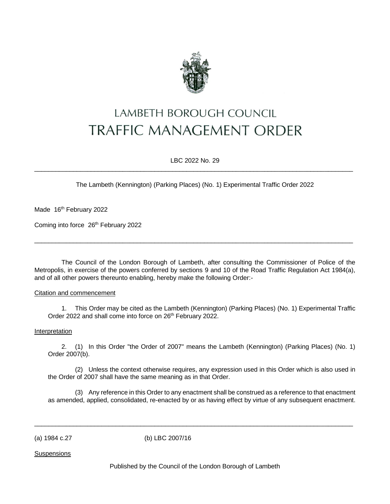

# **LAMBETH BOROUGH COUNCIL TRAFFIC MANAGEMENT ORDER**

LBC 2022 No. 29  $\_$  ,  $\_$  ,  $\_$  ,  $\_$  ,  $\_$  ,  $\_$  ,  $\_$  ,  $\_$  ,  $\_$  ,  $\_$  ,  $\_$  ,  $\_$  ,  $\_$  ,  $\_$  ,  $\_$  ,  $\_$  ,  $\_$  ,  $\_$  ,  $\_$  ,  $\_$  ,  $\_$  ,  $\_$  ,  $\_$  ,  $\_$  ,  $\_$  ,  $\_$  ,  $\_$  ,  $\_$  ,  $\_$  ,  $\_$  ,  $\_$  ,  $\_$  ,  $\_$  ,  $\_$  ,  $\_$  ,  $\_$  ,  $\_$  ,

The Lambeth (Kennington) (Parking Places) (No. 1) Experimental Traffic Order 2022

Made 16<sup>th</sup> February 2022

Coming into force 26<sup>th</sup> February 2022

The Council of the London Borough of Lambeth, after consulting the Commissioner of Police of the Metropolis, in exercise of the powers conferred by sections 9 and 10 of the Road Traffic Regulation Act 1984(a), and of all other powers thereunto enabling, hereby make the following Order:-

 $\_$  ,  $\_$  ,  $\_$  ,  $\_$  ,  $\_$  ,  $\_$  ,  $\_$  ,  $\_$  ,  $\_$  ,  $\_$  ,  $\_$  ,  $\_$  ,  $\_$  ,  $\_$  ,  $\_$  ,  $\_$  ,  $\_$  ,  $\_$  ,  $\_$  ,  $\_$  ,  $\_$  ,  $\_$  ,  $\_$  ,  $\_$  ,  $\_$  ,  $\_$  ,  $\_$  ,  $\_$  ,  $\_$  ,  $\_$  ,  $\_$  ,  $\_$  ,  $\_$  ,  $\_$  ,  $\_$  ,  $\_$  ,  $\_$  ,

## Citation and commencement

1. This Order may be cited as the Lambeth (Kennington) (Parking Places) (No. 1) Experimental Traffic Order 2022 and shall come into force on 26<sup>th</sup> February 2022.

## Interpretation

2. (1) In this Order "the Order of 2007" means the Lambeth (Kennington) (Parking Places) (No. 1) Order 2007(b).

(2) Unless the context otherwise requires, any expression used in this Order which is also used in the Order of 2007 shall have the same meaning as in that Order.

(3) Any reference in this Order to any enactment shall be construed as a reference to that enactment as amended, applied, consolidated, re-enacted by or as having effect by virtue of any subsequent enactment.

(a) 1984 c.27 (b) LBC 2007/16

**Suspensions** 

Published by the Council of the London Borough of Lambeth

 $\overline{\phantom{a}}$  ,  $\overline{\phantom{a}}$  ,  $\overline{\phantom{a}}$  ,  $\overline{\phantom{a}}$  ,  $\overline{\phantom{a}}$  ,  $\overline{\phantom{a}}$  ,  $\overline{\phantom{a}}$  ,  $\overline{\phantom{a}}$  ,  $\overline{\phantom{a}}$  ,  $\overline{\phantom{a}}$  ,  $\overline{\phantom{a}}$  ,  $\overline{\phantom{a}}$  ,  $\overline{\phantom{a}}$  ,  $\overline{\phantom{a}}$  ,  $\overline{\phantom{a}}$  ,  $\overline{\phantom{a}}$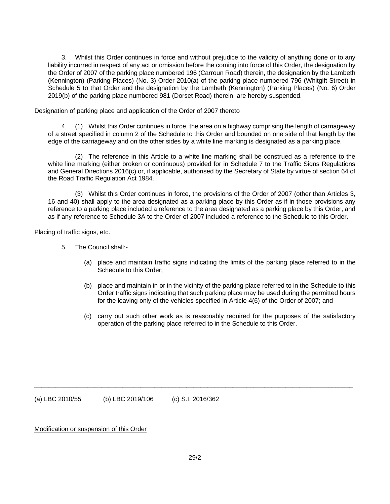3. Whilst this Order continues in force and without prejudice to the validity of anything done or to any liability incurred in respect of any act or omission before the coming into force of this Order, the designation by the Order of 2007 of the parking place numbered 196 (Carroun Road) therein, the designation by the Lambeth (Kennington) (Parking Places) (No. 3) Order 2010(a) of the parking place numbered 796 (Whitgift Street) in Schedule 5 to that Order and the designation by the Lambeth (Kennington) (Parking Places) (No. 6) Order 2019(b) of the parking place numbered 981 (Dorset Road) therein, are hereby suspended.

#### Designation of parking place and application of the Order of 2007 thereto

4. (1) Whilst this Order continues in force, the area on a highway comprising the length of carriageway of a street specified in column 2 of the Schedule to this Order and bounded on one side of that length by the edge of the carriageway and on the other sides by a white line marking is designated as a parking place.

(2) The reference in this Article to a white line marking shall be construed as a reference to the white line marking (either broken or continuous) provided for in Schedule 7 to the Traffic Signs Regulations and General Directions 2016(c) or, if applicable, authorised by the Secretary of State by virtue of section 64 of the Road Traffic Regulation Act 1984.

(3) Whilst this Order continues in force, the provisions of the Order of 2007 (other than Articles 3, 16 and 40) shall apply to the area designated as a parking place by this Order as if in those provisions any reference to a parking place included a reference to the area designated as a parking place by this Order, and as if any reference to Schedule 3A to the Order of 2007 included a reference to the Schedule to this Order.

#### Placing of traffic signs, etc.

- 5. The Council shall:-
	- (a) place and maintain traffic signs indicating the limits of the parking place referred to in the Schedule to this Order;
	- (b) place and maintain in or in the vicinity of the parking place referred to in the Schedule to this Order traffic signs indicating that such parking place may be used during the permitted hours for the leaving only of the vehicles specified in Article 4(6) of the Order of 2007; and
	- (c) carry out such other work as is reasonably required for the purposes of the satisfactory operation of the parking place referred to in the Schedule to this Order.

(a) LBC 2010/55 (b) LBC 2019/106 (c) S.I. 2016/362

Modification or suspension of this Order

 $\overline{\phantom{a}}$  ,  $\overline{\phantom{a}}$  ,  $\overline{\phantom{a}}$  ,  $\overline{\phantom{a}}$  ,  $\overline{\phantom{a}}$  ,  $\overline{\phantom{a}}$  ,  $\overline{\phantom{a}}$  ,  $\overline{\phantom{a}}$  ,  $\overline{\phantom{a}}$  ,  $\overline{\phantom{a}}$  ,  $\overline{\phantom{a}}$  ,  $\overline{\phantom{a}}$  ,  $\overline{\phantom{a}}$  ,  $\overline{\phantom{a}}$  ,  $\overline{\phantom{a}}$  ,  $\overline{\phantom{a}}$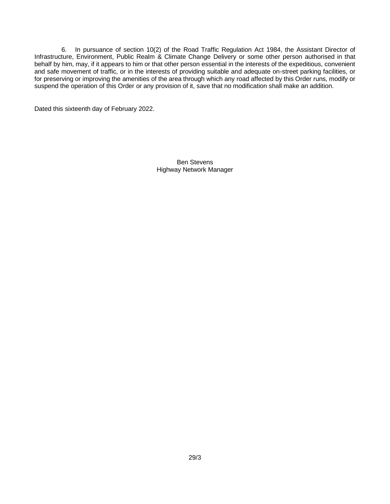6. In pursuance of section 10(2) of the Road Traffic Regulation Act 1984, the Assistant Director of Infrastructure, Environment, Public Realm & Climate Change Delivery or some other person authorised in that behalf by him, may, if it appears to him or that other person essential in the interests of the expeditious, convenient and safe movement of traffic, or in the interests of providing suitable and adequate on-street parking facilities, or for preserving or improving the amenities of the area through which any road affected by this Order runs, modify or suspend the operation of this Order or any provision of it, save that no modification shall make an addition.

Dated this sixteenth day of February 2022.

Ben Stevens Highway Network Manager